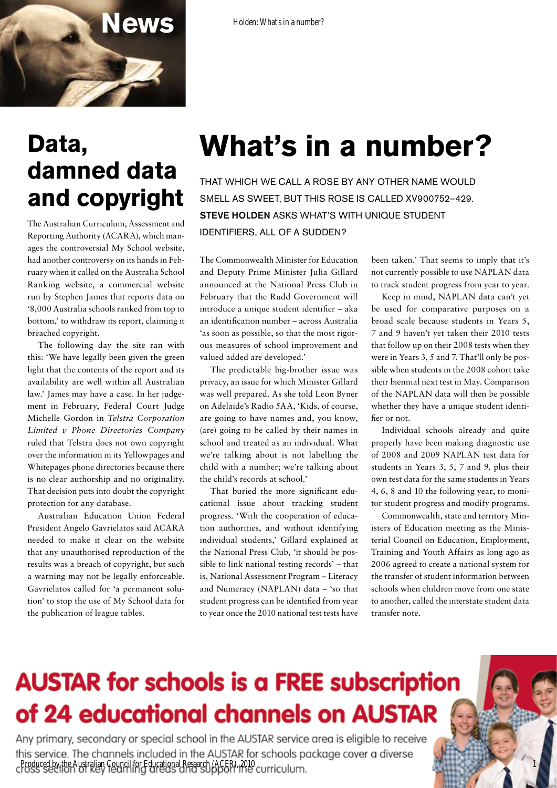

### **Data, damned data and copyright**

The Australian Curriculum, Assessment and Reporting Authority (ACARA), which manages the controversial My School website, had another controversy on its hands in February when it called on the Australia School Ranking website, a commercial website run by Stephen James that reports data on '8,000 Australia schools ranked from top to bottom,' to withdraw its report, claiming it breached copyright.

The following day the site ran with this: 'We have legally been given the green light that the contents of the report and its availability are well within all Australian law.' James may have a case. In her judgement in February, Federal Court Judge Michelle Gordon in *Telstra Corporation Limited v Phone Directories Company* ruled that Telstra does not own copyright over the information in its Yellowpages and Whitepages phone directories because there is no clear authorship and no originality. That decision puts into doubt the copyright protection for any database.

Australian Education Union Federal President Angelo Gavrielatos said ACARA needed to make it clear on the website that any unauthorised reproduction of the results was a breach of copyright, but such a warning may not be legally enforceable. Gavrielatos called for 'a permanent solution' to stop the use of My School data for the publication of league tables.

# **What's in a number?**

That which we call a rose By any other name would smell as sweet, but this rose is called XV900752–429. STEVE HOLDEN ASKS WHAT'S WITH UNIQUE STUDENT identifiers, all of a sudden?

The Commonwealth Minister for Education and Deputy Prime Minister Julia Gillard announced at the National Press Club in February that the Rudd Government will introduce a unique student identifier – aka an identification number – across Australia 'as soon as possible, so that the most rigorous measures of school improvement and valued added are developed.'

The predictable big-brother issue was privacy, an issue for which Minister Gillard was well prepared. As she told Leon Byner on Adelaide's Radio 5AA, 'Kids, of course, are going to have names and, you know, (are) going to be called by their names in school and treated as an individual. What we're talking about is not labelling the child with a number; we're talking about the child's records at school.'

That buried the more significant educational issue about tracking student progress. 'With the cooperation of education authorities, and without identifying individual students,' Gillard explained at the National Press Club, 'it should be possible to link national testing records' – that is, National Assessment Program – Literacy and Numeracy (NAPLAN) data – 'so that student progress can be identified from year to year once the 2010 national test tests have

been taken.' That seems to imply that it's not currently possible to use NAPLAN data to track student progress from year to year.

Keep in mind, NAPLAN data can't yet be used for comparative purposes on a broad scale because students in Years 5, 7 and 9 haven't yet taken their 2010 tests that follow up on their 2008 tests when they were in Years 3, 5 and 7. That'll only be possible when students in the 2008 cohort take their biennial next test in May. Comparison of the NAPLAN data will then be possible whether they have a unique student identifier or not.

Individual schools already and quite properly have been making diagnostic use of 2008 and 2009 NAPLAN test data for students in Years 3, 5, 7 and 9, plus their own test data for the same students in Years 4, 6, 8 and 10 the following year, to monitor student progress and modify programs.

Commonwealth, state and territory Ministers of Education meeting as the Ministerial Council on Education, Employment, Training and Youth Affairs as long ago as 2006 agreed to create a national system for the transfer of student information between schools when children move from one state to another, called the interstate student data transfer note.

1

## **AUSTAR for schools is a FREE subscription** of 24 educational channels on AUSTAR

Any primary, secondary or special school in the AUSTAR service area is eligible to receive this service. The channels included in the AUSTAR for schools package cover a diverse Produced by the Australian Council for Educational Research (ACER), 2010